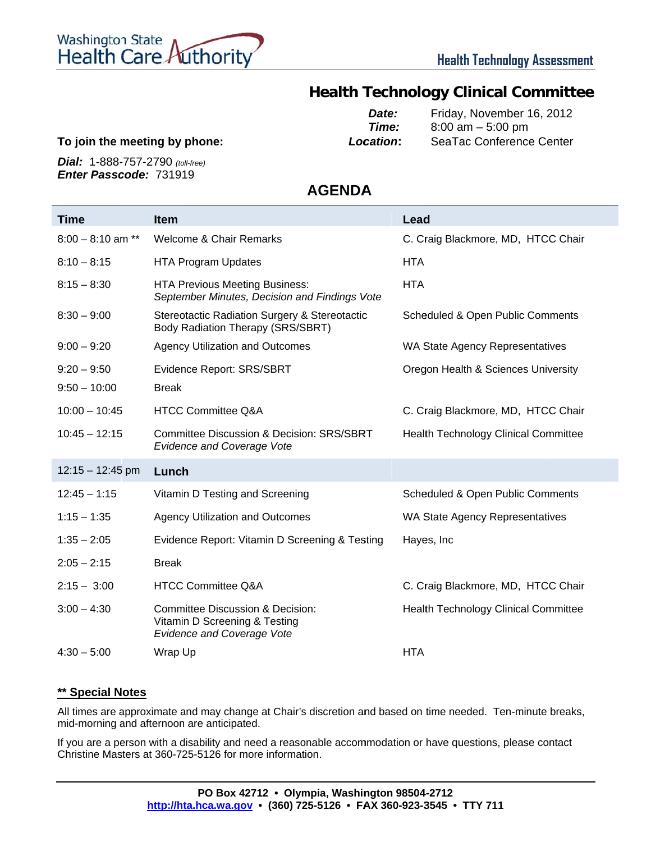

## **Health Technology Clinical Committee**

**T To join the m meeting by phone:**  *Loc cation***:** *Date: Time:* Friday, November 16, 2012 8:00 am – 5:00 pm SeaTac Conference Center

*D Dial:*1-888- -757-2790 *(to oll-free)* Enter Passcode: 731919

**AGENDA A**

| Time                | <b>Item</b>                                                                                                       | Lead                                        |
|---------------------|-------------------------------------------------------------------------------------------------------------------|---------------------------------------------|
| $8:00 - 8:10$ am ** | <b>Welcome &amp; Chair Remarks</b>                                                                                | C. Craig Blackmore, MD, HTCC Chair          |
| $8:10 - 8:15$       | <b>HTA Program Updates</b>                                                                                        | <b>HTA</b>                                  |
| $8:15 - 8:30$       | <b>HTA Previous Meeting Business:</b><br>September Minutes, Decision and Findings Vote                            | <b>HTA</b>                                  |
| $8:30 - 9:00$       | Stereotactic Radiation Surgery & Stereotactic<br>Body Radiation Therapy (SRS/SBRT)                                | Scheduled & Open Public Comments            |
| $9:00 - 9:20$       | <b>Agency Utilization and Outcomes</b>                                                                            | WA State Agency Representatives             |
| $9:20 - 9:50$       | <b>Evidence Report: SRS/SBRT</b>                                                                                  | Oregon Health & Sciences University         |
| $9:50 - 10:00$      | <b>Break</b>                                                                                                      |                                             |
| $10:00 - 10:45$     | <b>HTCC Committee Q&amp;A</b>                                                                                     | C. Craig Blackmore, MD, HTCC Chair          |
| $10:45 - 12:15$     | <b>Committee Discussion &amp; Decision: SRS/SBRT</b><br><b>Evidence and Coverage Vote</b>                         | <b>Health Technology Clinical Committee</b> |
| $12:15 - 12:45$ pm  | Lunch                                                                                                             |                                             |
| $12:45 - 1:15$      | Vitamin D Testing and Screening                                                                                   | Scheduled & Open Public Comments            |
| $1:15 - 1:35$       | <b>Agency Utilization and Outcomes</b>                                                                            | WA State Agency Representatives             |
| $1:35 - 2:05$       | Evidence Report: Vitamin D Screening & Testing                                                                    | Hayes, Inc                                  |
| $2:05 - 2:15$       | <b>Break</b>                                                                                                      |                                             |
| $2:15 - 3:00$       | <b>HTCC Committee Q&amp;A</b>                                                                                     | C. Craig Blackmore, MD, HTCC Chair          |
| $3:00 - 4:30$       | <b>Committee Discussion &amp; Decision:</b><br>Vitamin D Screening & Testing<br><b>Evidence and Coverage Vote</b> | <b>Health Technology Clinical Committee</b> |
| $4:30 - 5:00$       | Wrap Up                                                                                                           | <b>HTA</b>                                  |

#### **\* \*\* Special N otes**

All times are approximate and may change at Chair's discretion and based on time needed. Ten-minute breaks, mid-morning and afternoon are anticipated.

If you are a person with a disability and need a reasonable accommodation or have questions, please contact Christine Masters at 360-725-5126 for more information.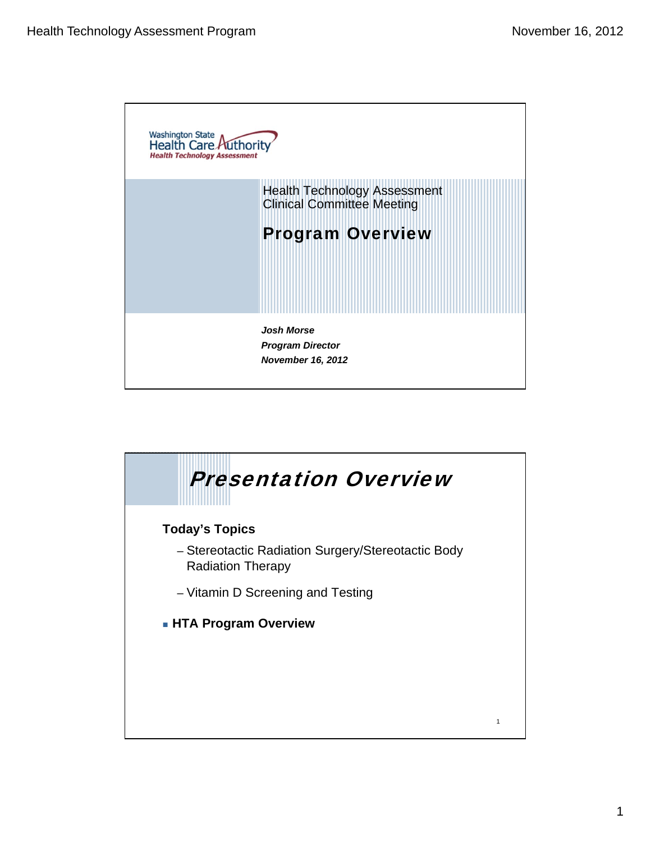

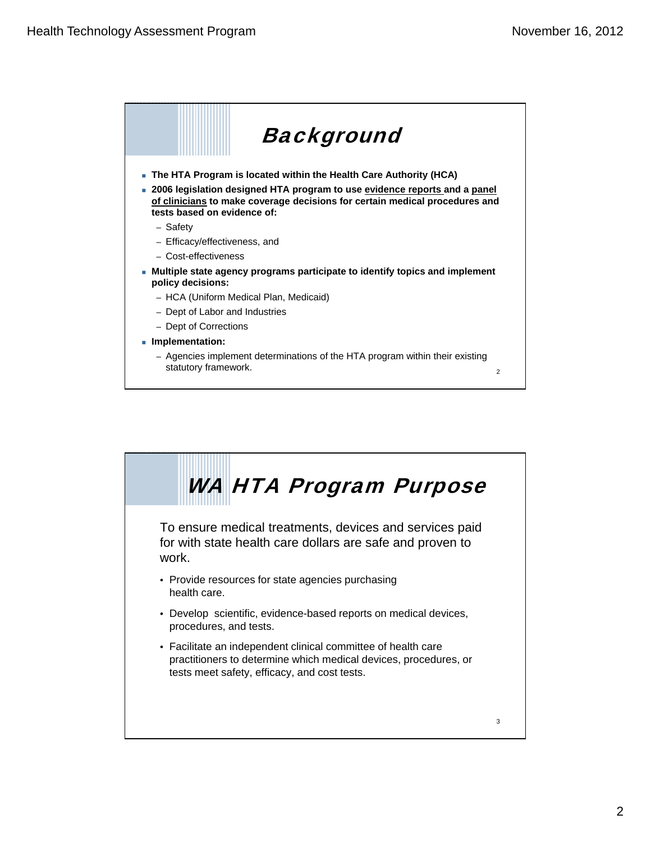

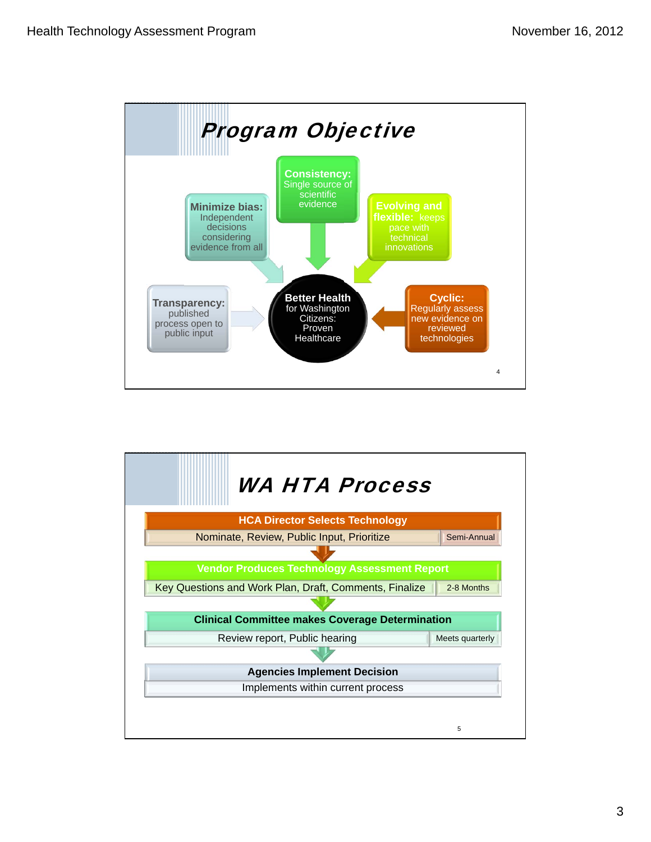

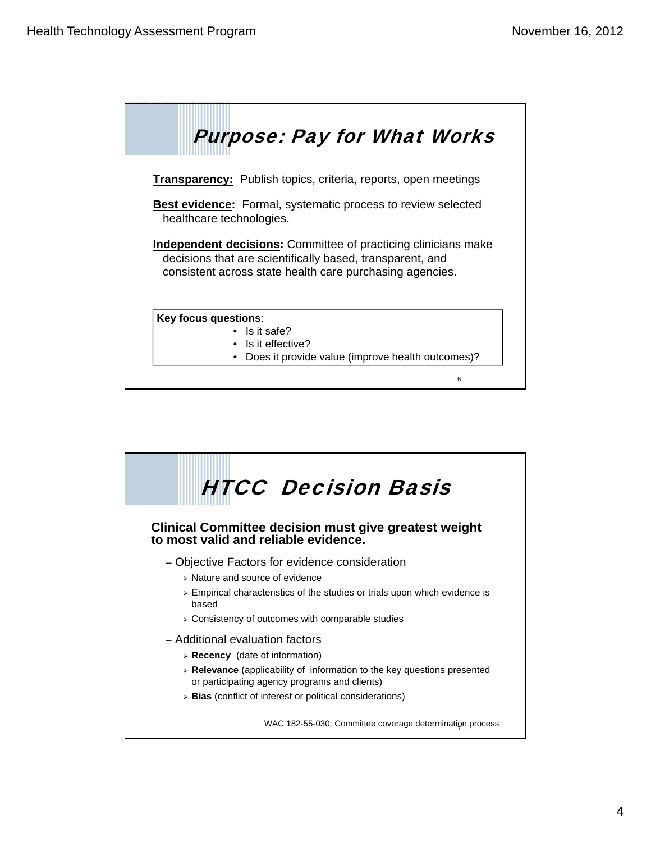

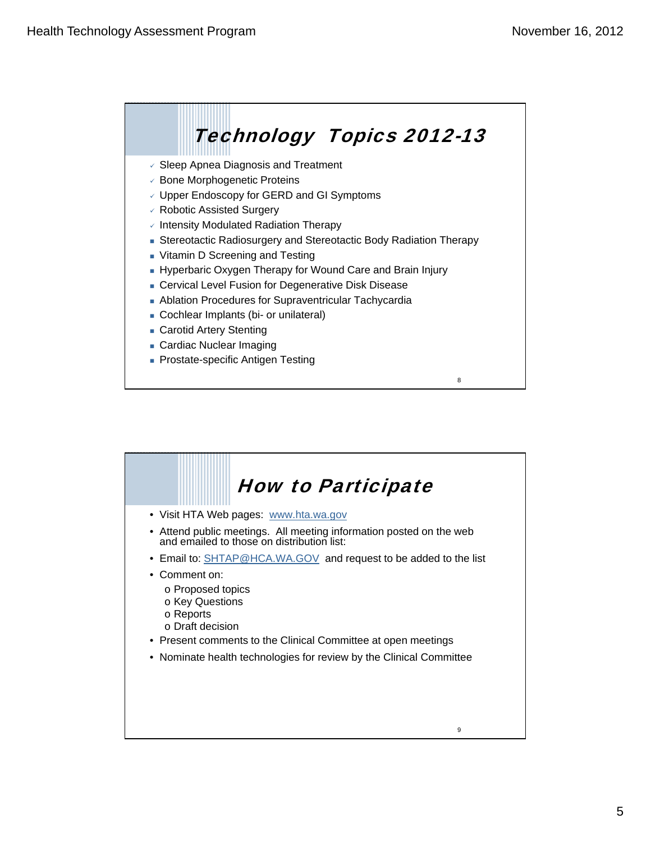

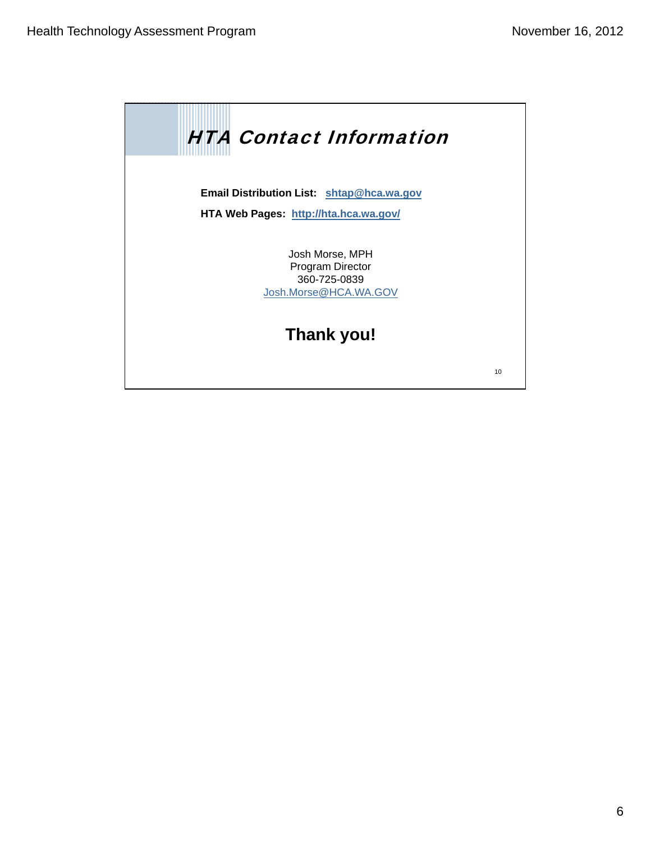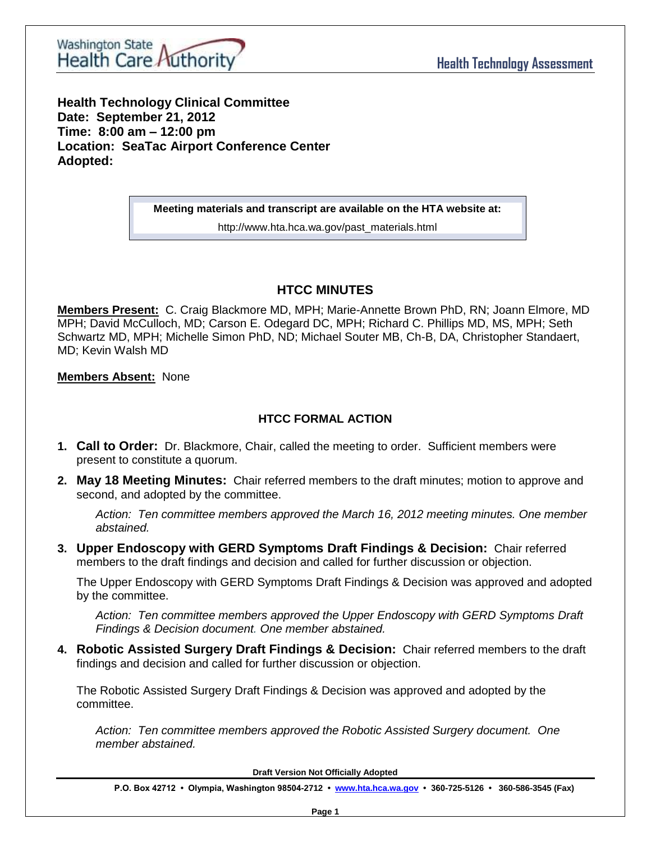

**Health Technology Clinical Committee Date: September 21, 2012 Time: 8:00 am – 12:00 pm Location: SeaTac Airport Conference Center Adopted:** 

**Meeting materials and transcript are available on the HTA website at:**

http://www.hta.hca.wa.gov/past\_materials.html

## **HTCC MINUTES**

**Members Present:** C. Craig Blackmore MD, MPH; Marie-Annette Brown PhD, RN; Joann Elmore, MD MPH; David McCulloch, MD; Carson E. Odegard DC, MPH; Richard C. Phillips MD, MS, MPH; Seth Schwartz MD, MPH; Michelle Simon PhD, ND; Michael Souter MB, Ch-B, DA, Christopher Standaert, MD; Kevin Walsh MD

## **Members Absent:** None

## **HTCC FORMAL ACTION**

- **1. Call to Order:** Dr. Blackmore, Chair, called the meeting to order. Sufficient members were present to constitute a quorum.
- **2. May 18 Meeting Minutes:** Chair referred members to the draft minutes; motion to approve and second, and adopted by the committee.

*Action: Ten committee members approved the March 16, 2012 meeting minutes. One member abstained.* 

**3. Upper Endoscopy with GERD Symptoms Draft Findings & Decision:** Chair referred members to the draft findings and decision and called for further discussion or objection.

The Upper Endoscopy with GERD Symptoms Draft Findings & Decision was approved and adopted by the committee.

*Action: Ten committee members approved the Upper Endoscopy with GERD Symptoms Draft Findings & Decision document. One member abstained.*

**4. Robotic Assisted Surgery Draft Findings & Decision:** Chair referred members to the draft findings and decision and called for further discussion or objection.

The Robotic Assisted Surgery Draft Findings & Decision was approved and adopted by the committee.

*Action: Ten committee members approved the Robotic Assisted Surgery document. One member abstained.*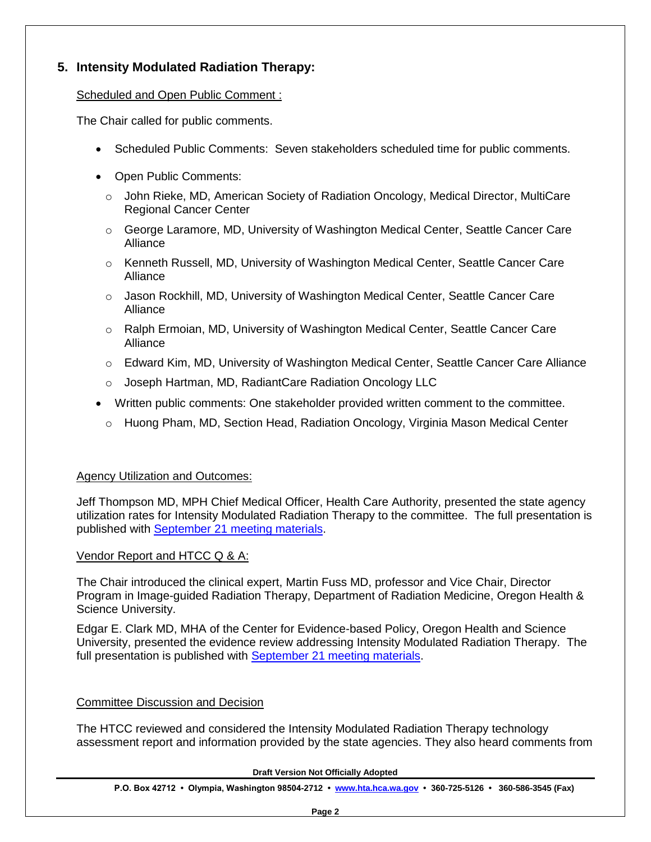## **5. Intensity Modulated Radiation Therapy:**

## Scheduled and Open Public Comment :

The Chair called for public comments.

- Scheduled Public Comments: Seven stakeholders scheduled time for public comments.
- Open Public Comments:
	- $\circ$  John Rieke, MD, American Society of Radiation Oncology, Medical Director, MultiCare Regional Cancer Center
	- $\circ$  George Laramore, MD, University of Washington Medical Center, Seattle Cancer Care Alliance
	- o Kenneth Russell, MD, University of Washington Medical Center, Seattle Cancer Care Alliance
	- o Jason Rockhill, MD, University of Washington Medical Center, Seattle Cancer Care Alliance
	- o Ralph Ermoian, MD, University of Washington Medical Center, Seattle Cancer Care Alliance
	- o Edward Kim, MD, University of Washington Medical Center, Seattle Cancer Care Alliance
	- o Joseph Hartman, MD, RadiantCare Radiation Oncology LLC
- Written public comments: One stakeholder provided written comment to the committee.
	- o Huong Pham, MD, Section Head, Radiation Oncology, Virginia Mason Medical Center

## Agency Utilization and Outcomes:

Jeff Thompson MD, MPH Chief Medical Officer, Health Care Authority, presented the state agency utilization rates for Intensity Modulated Radiation Therapy to the committee. The full presentation is published with September 21 [meeting materials.](http://www.hta.hca.wa.gov/past_materials.html)

### Vendor Report and HTCC Q & A:

The Chair introduced the clinical expert, Martin Fuss MD, professor and Vice Chair, Director Program in Image-guided Radiation Therapy, Department of Radiation Medicine, Oregon Health & Science University.

Edgar E. Clark MD, MHA of the Center for Evidence-based Policy, Oregon Health and Science University, presented the evidence review addressing Intensity Modulated Radiation Therapy. The full presentation is published with [September 21 meeting materials.](http://www.hta.hca.wa.gov/past_materials.html)

### Committee Discussion and Decision

The HTCC reviewed and considered the Intensity Modulated Radiation Therapy technology assessment report and information provided by the state agencies. They also heard comments from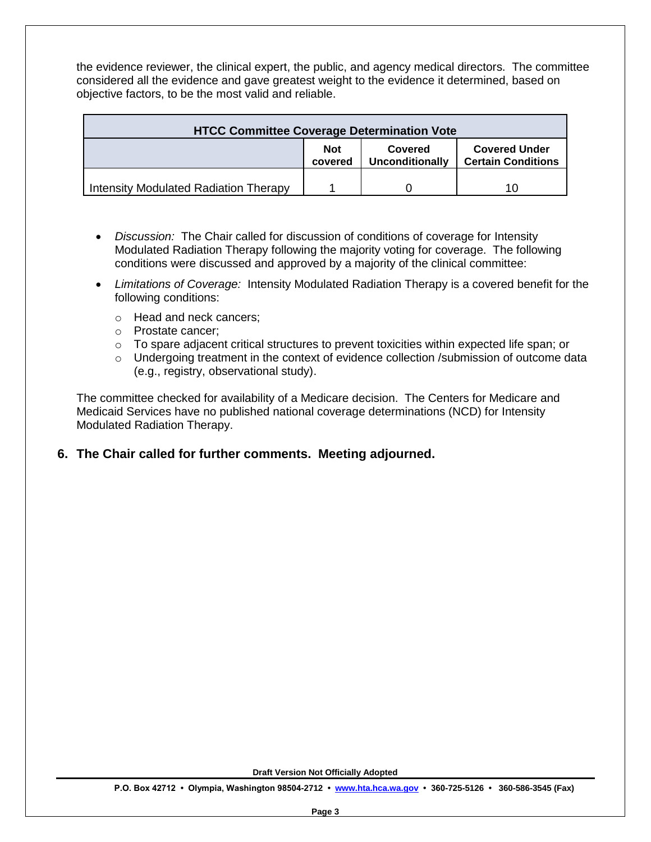the evidence reviewer, the clinical expert, the public, and agency medical directors. The committee considered all the evidence and gave greatest weight to the evidence it determined, based on objective factors, to be the most valid and reliable.

| <b>HTCC Committee Coverage Determination Vote</b> |                       |                            |                                                   |
|---------------------------------------------------|-----------------------|----------------------------|---------------------------------------------------|
|                                                   | <b>Not</b><br>covered | Covered<br>Unconditionally | <b>Covered Under</b><br><b>Certain Conditions</b> |
| Intensity Modulated Radiation Therapy             |                       |                            | 10                                                |

- *Discussion:* The Chair called for discussion of conditions of coverage for Intensity Modulated Radiation Therapy following the majority voting for coverage. The following conditions were discussed and approved by a majority of the clinical committee:
- *Limitations of Coverage:* Intensity Modulated Radiation Therapy is a covered benefit for the following conditions:
	- o Head and neck cancers;
	- o Prostate cancer;
	- $\circ$  To spare adjacent critical structures to prevent toxicities within expected life span; or
	- $\circ$  Undergoing treatment in the context of evidence collection /submission of outcome data (e.g., registry, observational study).

The committee checked for availability of a Medicare decision. The Centers for Medicare and Medicaid Services have no published national coverage determinations (NCD) for Intensity Modulated Radiation Therapy.

## **6. The Chair called for further comments. Meeting adjourned.**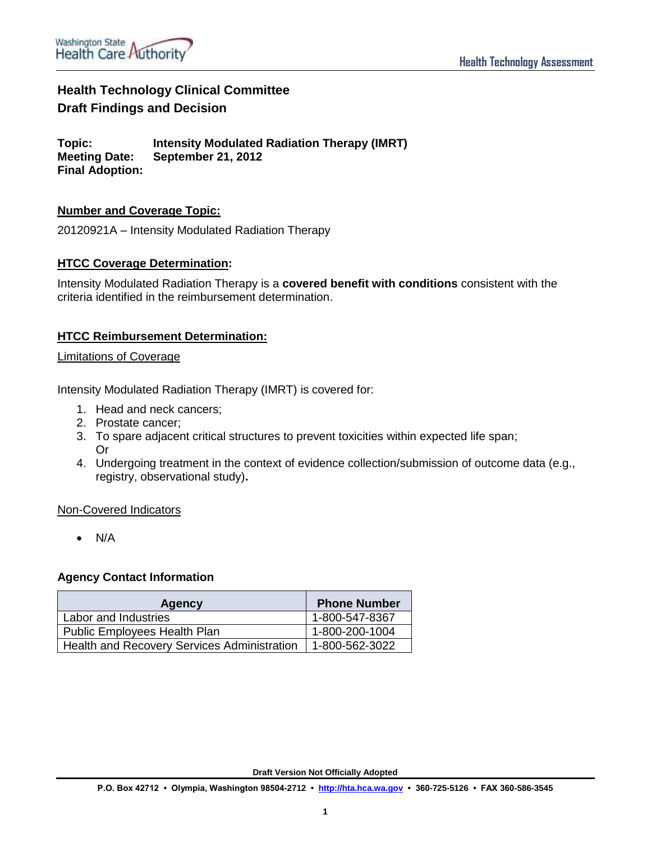## **Health Technology Clinical Committee Draft Findings and Decision**

**Topic: Intensity Modulated Radiation Therapy (IMRT) Meeting Date: September 21, 2012 Final Adoption:**

## **Number and Coverage Topic:**

20120921A – Intensity Modulated Radiation Therapy

### **HTCC Coverage Determination:**

Intensity Modulated Radiation Therapy is a **covered benefit with conditions** consistent with the criteria identified in the reimbursement determination.

## **HTCC Reimbursement Determination:**

#### Limitations of Coverage

Intensity Modulated Radiation Therapy (IMRT) is covered for:

- 1. Head and neck cancers;
- 2. Prostate cancer;
- 3. To spare adjacent critical structures to prevent toxicities within expected life span; Or
- 4. Undergoing treatment in the context of evidence collection/submission of outcome data (e.g., registry, observational study)**.**

#### Non-Covered Indicators

 $\bullet$  N/A

### **Agency Contact Information**

| <b>Agency</b>                               | <b>Phone Number</b> |
|---------------------------------------------|---------------------|
| Labor and Industries                        | 1-800-547-8367      |
| Public Employees Health Plan                | 1-800-200-1004      |
| Health and Recovery Services Administration | 1-800-562-3022      |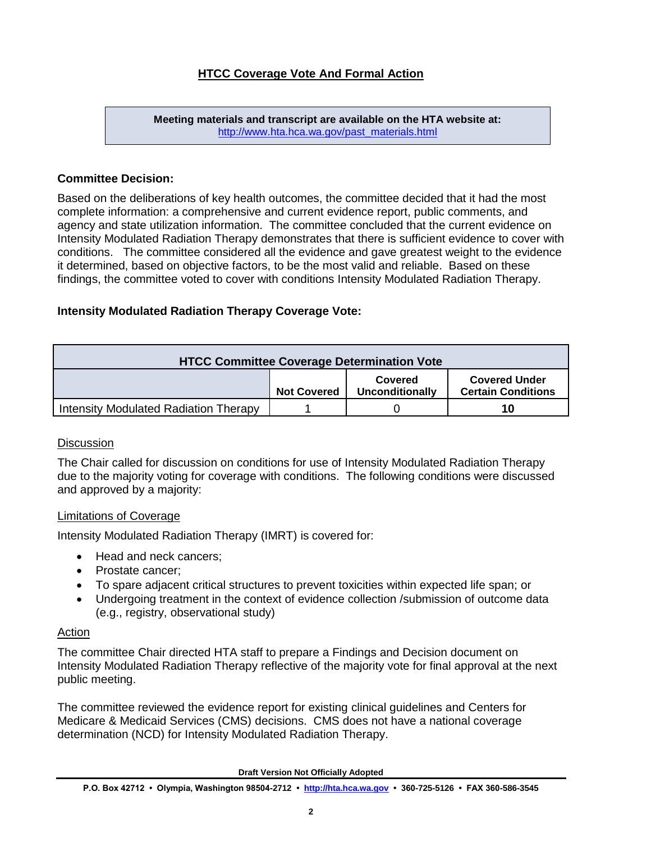**Meeting materials and transcript are available on the HTA website at:** [http://www.hta.hca.wa.gov/past\\_materials.html](http://www.hta.hca.wa.gov/past_materials.html)

### **Committee Decision:**

Based on the deliberations of key health outcomes, the committee decided that it had the most complete information: a comprehensive and current evidence report, public comments, and agency and state utilization information. The committee concluded that the current evidence on Intensity Modulated Radiation Therapy demonstrates that there is sufficient evidence to cover with conditions. The committee considered all the evidence and gave greatest weight to the evidence it determined, based on objective factors, to be the most valid and reliable. Based on these findings, the committee voted to cover with conditions Intensity Modulated Radiation Therapy.

### **Intensity Modulated Radiation Therapy Coverage Vote:**

| <b>HTCC Committee Coverage Determination Vote</b> |                    |                            |                                                   |
|---------------------------------------------------|--------------------|----------------------------|---------------------------------------------------|
|                                                   | <b>Not Covered</b> | Covered<br>Unconditionally | <b>Covered Under</b><br><b>Certain Conditions</b> |
| Intensity Modulated Radiation Therapy             |                    |                            | 10                                                |

#### **Discussion**

The Chair called for discussion on conditions for use of Intensity Modulated Radiation Therapy due to the majority voting for coverage with conditions. The following conditions were discussed and approved by a majority:

#### Limitations of Coverage

Intensity Modulated Radiation Therapy (IMRT) is covered for:

- Head and neck cancers:
- Prostate cancer;
- To spare adjacent critical structures to prevent toxicities within expected life span; or
- Undergoing treatment in the context of evidence collection /submission of outcome data (e.g., registry, observational study)

## **Action**

The committee Chair directed HTA staff to prepare a Findings and Decision document on Intensity Modulated Radiation Therapy reflective of the majority vote for final approval at the next public meeting.

The committee reviewed the evidence report for existing clinical guidelines and Centers for Medicare & Medicaid Services (CMS) decisions. CMS does not have a national coverage determination (NCD) for Intensity Modulated Radiation Therapy.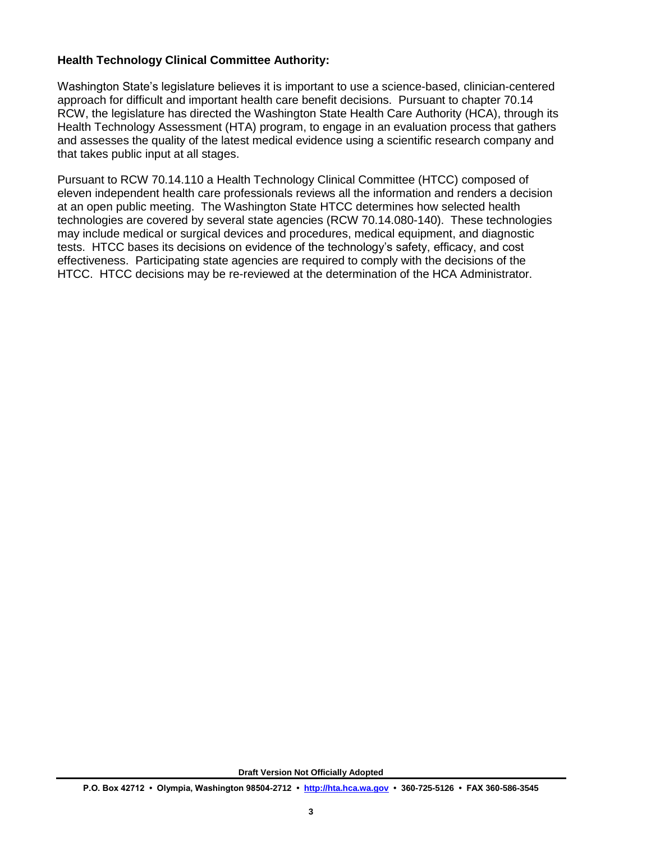## **Health Technology Clinical Committee Authority:**

Washington State's legislature believes it is important to use a science-based, clinician-centered approach for difficult and important health care benefit decisions. Pursuant to chapter 70.14 RCW, the legislature has directed the Washington State Health Care Authority (HCA), through its Health Technology Assessment (HTA) program, to engage in an evaluation process that gathers and assesses the quality of the latest medical evidence using a scientific research company and that takes public input at all stages.

Pursuant to RCW 70.14.110 a Health Technology Clinical Committee (HTCC) composed of eleven independent health care professionals reviews all the information and renders a decision at an open public meeting. The Washington State HTCC determines how selected health technologies are covered by several state agencies (RCW 70.14.080-140). These technologies may include medical or surgical devices and procedures, medical equipment, and diagnostic tests. HTCC bases its decisions on evidence of the technology's safety, efficacy, and cost effectiveness. Participating state agencies are required to comply with the decisions of the HTCC. HTCC decisions may be re-reviewed at the determination of the HCA Administrator.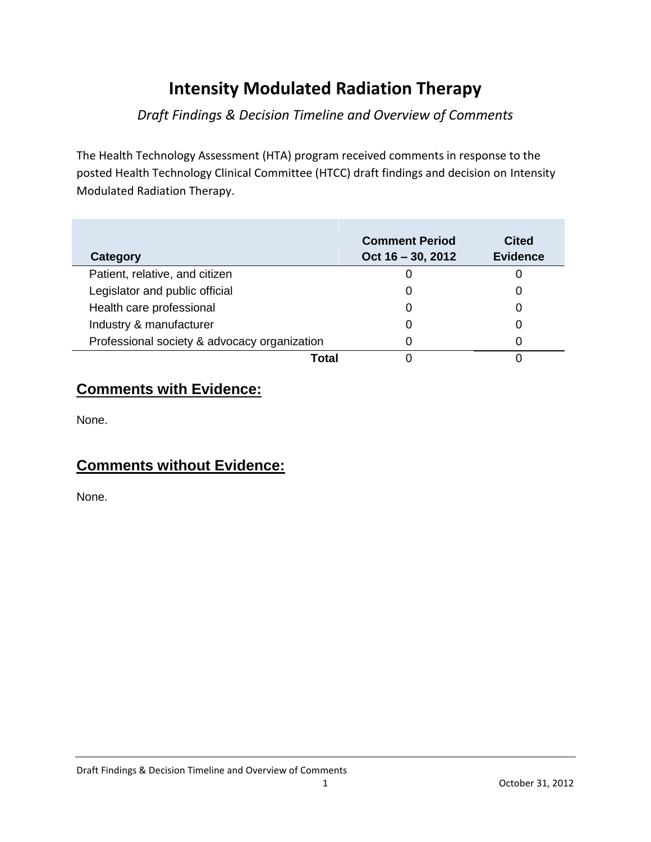# **Intensity Modulated Radiation Therapy**

## *Draft Findings & Decision Timeline and Overview of Comments*

The Health Technology Assessment (HTA) program received comments in response to the posted Health Technology Clinical Committee (HTCC) draft findings and decision on Intensity Modulated Radiation Therapy.

| Category                                     | <b>Comment Period</b><br>Oct $16 - 30$ , 2012 | <b>Cited</b><br><b>Evidence</b> |
|----------------------------------------------|-----------------------------------------------|---------------------------------|
| Patient, relative, and citizen               |                                               |                                 |
| Legislator and public official               |                                               | Ω                               |
| Health care professional                     |                                               | O                               |
| Industry & manufacturer                      |                                               | O                               |
| Professional society & advocacy organization |                                               | ი                               |
| Total                                        |                                               |                                 |

## **Comments with Evidence:**

None.

## **Comments without Evidence:**

None.